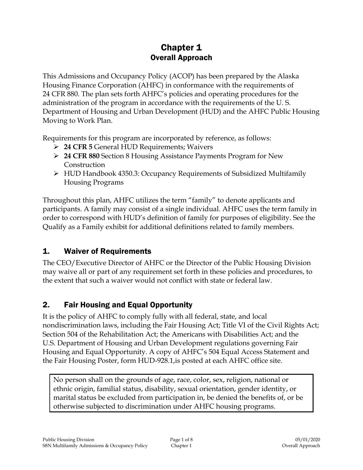# Chapter 1 Overall Approach

This Admissions and Occupancy Policy (ACOP) has been prepared by the Alaska Housing Finance Corporation (AHFC) in conformance with the requirements of 24 CFR 880. The plan sets forth AHFC's policies and operating procedures for the administration of the program in accordance with the requirements of the U. S. Department of Housing and Urban Development (HUD) and the AHFC Public Housing Moving to Work Plan.

Requirements for this program are incorporated by reference, as follows:

- **24 CFR 5** General HUD Requirements; Waivers
- **24 CFR 880** Section 8 Housing Assistance Payments Program for New Construction
- $\triangleright$  HUD Handbook 4350.3: Occupancy Requirements of Subsidized Multifamily Housing Programs

Throughout this plan, AHFC utilizes the term "family" to denote applicants and participants. A family may consist of a single individual. AHFC uses the term family in order to correspond with HUD's definition of family for purposes of eligibility. See the Qualify as a Family exhibit for additional definitions related to family members.

## 1. Waiver of Requirements

The CEO/Executive Director of AHFC or the Director of the Public Housing Division may waive all or part of any requirement set forth in these policies and procedures, to the extent that such a waiver would not conflict with state or federal law.

# 2. Fair Housing and Equal Opportunity

It is the policy of AHFC to comply fully with all federal, state, and local nondiscrimination laws, including the Fair Housing Act; Title VI of the Civil Rights Act; Section 504 of the Rehabilitation Act; the Americans with Disabilities Act; and the U.S. Department of Housing and Urban Development regulations governing Fair Housing and Equal Opportunity. A copy of AHFC's 504 Equal Access Statement and the Fair Housing Poster, form HUD-928.1,is posted at each AHFC office site.

No person shall on the grounds of age, race, color, sex, religion, national or ethnic origin, familial status, disability, sexual orientation, gender identity, or marital status be excluded from participation in, be denied the benefits of, or be otherwise subjected to discrimination under AHFC housing programs.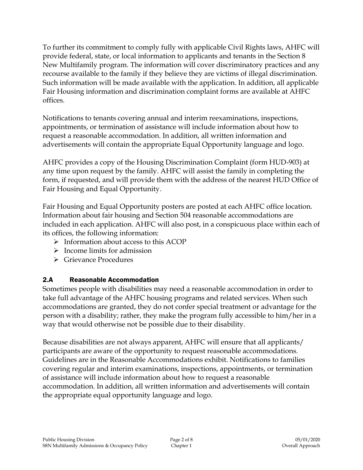To further its commitment to comply fully with applicable Civil Rights laws, AHFC will provide federal, state, or local information to applicants and tenants in the Section 8 New Multifamily program. The information will cover discriminatory practices and any recourse available to the family if they believe they are victims of illegal discrimination. Such information will be made available with the application. In addition, all applicable Fair Housing information and discrimination complaint forms are available at AHFC offices.

Notifications to tenants covering annual and interim reexaminations, inspections, appointments, or termination of assistance will include information about how to request a reasonable accommodation. In addition, all written information and advertisements will contain the appropriate Equal Opportunity language and logo.

AHFC provides a copy of the Housing Discrimination Complaint (form HUD-903) at any time upon request by the family. AHFC will assist the family in completing the form, if requested, and will provide them with the address of the nearest HUD Office of Fair Housing and Equal Opportunity.

Fair Housing and Equal Opportunity posters are posted at each AHFC office location. Information about fair housing and Section 504 reasonable accommodations are included in each application. AHFC will also post, in a conspicuous place within each of its offices, the following information:

- $\triangleright$  Information about access to this ACOP
- $\triangleright$  Income limits for admission
- **► Grievance Procedures**

### 2.A Reasonable Accommodation

Sometimes people with disabilities may need a reasonable accommodation in order to take full advantage of the AHFC housing programs and related services. When such accommodations are granted, they do not confer special treatment or advantage for the person with a disability; rather, they make the program fully accessible to him/her in a way that would otherwise not be possible due to their disability.

Because disabilities are not always apparent, AHFC will ensure that all applicants/ participants are aware of the opportunity to request reasonable accommodations. Guidelines are in the Reasonable Accommodations exhibit. Notifications to families covering regular and interim examinations, inspections, appointments, or termination of assistance will include information about how to request a reasonable accommodation. In addition, all written information and advertisements will contain the appropriate equal opportunity language and logo.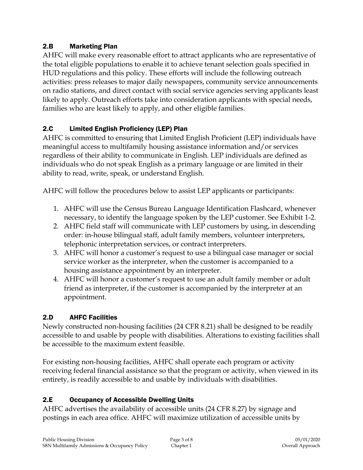### 2.B Marketing Plan

AHFC will make every reasonable effort to attract applicants who are representative of the total eligible populations to enable it to achieve tenant selection goals specified in HUD regulations and this policy. These efforts will include the following outreach activities: press releases to major daily newspapers, community service announcements on radio stations, and direct contact with social service agencies serving applicants least likely to apply. Outreach efforts take into consideration applicants with special needs, families who are least likely to apply, and other eligible families.

### 2.C Limited English Proficiency (LEP) Plan

AHFC is committed to ensuring that Limited English Proficient (LEP) individuals have meaningful access to multifamily housing assistance information and/or services regardless of their ability to communicate in English. LEP individuals are defined as individuals who do not speak English as a primary language or are limited in their ability to read, write, speak, or understand English.

AHFC will follow the procedures below to assist LEP applicants or participants:

- 1. AHFC will use the Census Bureau Language Identification Flashcard, whenever necessary, to identify the language spoken by the LEP customer. See Exhibit 1-2.
- 2. AHFC field staff will communicate with LEP customers by using, in descending order: in-house bilingual staff, adult family members, volunteer interpreters, telephonic interpretation services, or contract interpreters.
- 3. AHFC will honor a customer's request to use a bilingual case manager or social service worker as the interpreter, when the customer is accompanied to a housing assistance appointment by an interpreter.
- 4. AHFC will honor a customer's request to use an adult family member or adult friend as interpreter, if the customer is accompanied by the interpreter at an appointment.

## 2.D AHFC Facilities

Newly constructed non-housing facilities (24 CFR 8.21) shall be designed to be readily accessible to and usable by people with disabilities. Alterations to existing facilities shall be accessible to the maximum extent feasible.

For existing non-housing facilities, AHFC shall operate each program or activity receiving federal financial assistance so that the program or activity, when viewed in its entirety, is readily accessible to and usable by individuals with disabilities.

## 2.E Occupancy of Accessible Dwelling Units

AHFC advertises the availability of accessible units (24 CFR 8.27) by signage and postings in each area office. AHFC will maximize utilization of accessible units by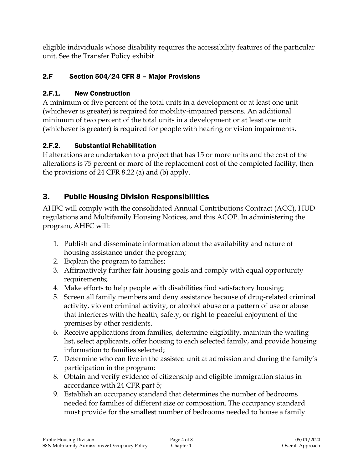eligible individuals whose disability requires the accessibility features of the particular unit. See the Transfer Policy exhibit.

## 2.F Section 504/24 CFR 8 – Major Provisions

### 2.F.1. New Construction

A minimum of five percent of the total units in a development or at least one unit (whichever is greater) is required for mobility-impaired persons. An additional minimum of two percent of the total units in a development or at least one unit (whichever is greater) is required for people with hearing or vision impairments.

## 2.F.2. Substantial Rehabilitation

If alterations are undertaken to a project that has 15 or more units and the cost of the alterations is 75 percent or more of the replacement cost of the completed facility, then the provisions of 24 CFR 8.22 (a) and (b) apply.

# 3. Public Housing Division Responsibilities

AHFC will comply with the consolidated Annual Contributions Contract (ACC), HUD regulations and Multifamily Housing Notices, and this ACOP. In administering the program, AHFC will:

- 1. Publish and disseminate information about the availability and nature of housing assistance under the program;
- 2. Explain the program to families;
- 3. Affirmatively further fair housing goals and comply with equal opportunity requirements;
- 4. Make efforts to help people with disabilities find satisfactory housing;
- 5. Screen all family members and deny assistance because of drug-related criminal activity, violent criminal activity, or alcohol abuse or a pattern of use or abuse that interferes with the health, safety, or right to peaceful enjoyment of the premises by other residents.
- 6. Receive applications from families, determine eligibility, maintain the waiting list, select applicants, offer housing to each selected family, and provide housing information to families selected;
- 7. Determine who can live in the assisted unit at admission and during the family's participation in the program;
- 8. Obtain and verify evidence of citizenship and eligible immigration status in accordance with 24 CFR part 5;
- 9. Establish an occupancy standard that determines the number of bedrooms needed for families of different size or composition. The occupancy standard must provide for the smallest number of bedrooms needed to house a family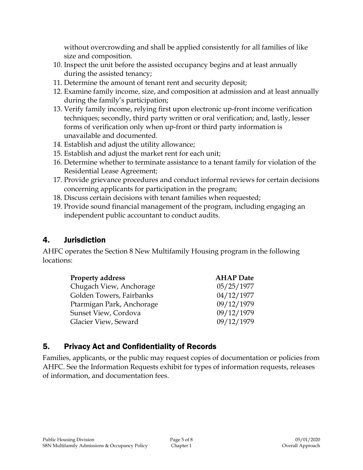without overcrowding and shall be applied consistently for all families of like size and composition.

- 10. Inspect the unit before the assisted occupancy begins and at least annually during the assisted tenancy;
- 11. Determine the amount of tenant rent and security deposit;
- 12. Examine family income, size, and composition at admission and at least annually during the family's participation;
- 13. Verify family income, relying first upon electronic up-front income verification techniques; secondly, third party written or oral verification; and, lastly, lesser forms of verification only when up-front or third party information is unavailable and documented.
- 14. Establish and adjust the utility allowance;
- 15. Establish and adjust the market rent for each unit;
- 16. Determine whether to terminate assistance to a tenant family for violation of the Residential Lease Agreement;
- 17. Provide grievance procedures and conduct informal reviews for certain decisions concerning applicants for participation in the program;
- 18. Discuss certain decisions with tenant families when requested;
- 19. Provide sound financial management of the program, including engaging an independent public accountant to conduct audits.

## 4. Jurisdiction

AHFC operates the Section 8 New Multifamily Housing program in the following locations:

| <b>Property address</b>   | <b>AHAP</b> Date |
|---------------------------|------------------|
| Chugach View, Anchorage   | 05/25/1977       |
| Golden Towers, Fairbanks  | 04/12/1977       |
| Ptarmigan Park, Anchorage | 09/12/1979       |
| Sunset View, Cordova      | 09/12/1979       |
| Glacier View, Seward      | 09/12/1979       |

## 5. Privacy Act and Confidentiality of Records

Families, applicants, or the public may request copies of documentation or policies from AHFC. See the Information Requests exhibit for types of information requests, releases of information, and documentation fees.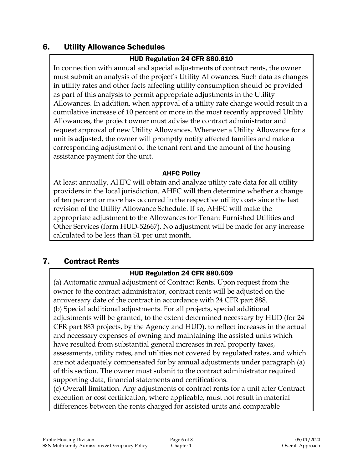## 6. Utility Allowance Schedules

#### HUD Regulation 24 CFR 880.610

In connection with annual and special adjustments of contract rents, the owner must submit an analysis of the project's Utility Allowances. Such data as changes in utility rates and other facts affecting utility consumption should be provided as part of this analysis to permit appropriate adjustments in the Utility Allowances. In addition, when approval of a utility rate change would result in a cumulative increase of 10 percent or more in the most recently approved Utility Allowances, the project owner must advise the contract administrator and request approval of new Utility Allowances. Whenever a Utility Allowance for a unit is adjusted, the owner will promptly notify affected families and make a corresponding adjustment of the tenant rent and the amount of the housing assistance payment for the unit.

#### AHFC Policy

At least annually, AHFC will obtain and analyze utility rate data for all utility providers in the local jurisdiction. AHFC will then determine whether a change of ten percent or more has occurred in the respective utility costs since the last revision of the Utility Allowance Schedule. If so, AHFC will make the appropriate adjustment to the Allowances for Tenant Furnished Utilities and Other Services (form HUD-52667). No adjustment will be made for any increase calculated to be less than \$1 per unit month.

### 7. Contract Rents

### HUD Regulation 24 CFR 880.609

(a) Automatic annual adjustment of Contract Rents. Upon request from the owner to the contract administrator, contract rents will be adjusted on the anniversary date of the contract in accordance with 24 CFR part 888. (b) Special additional adjustments. For all projects, special additional adjustments will be granted, to the extent determined necessary by HUD (for 24 CFR part 883 projects, by the Agency and HUD), to reflect increases in the actual and necessary expenses of owning and maintaining the assisted units which have resulted from substantial general increases in real property taxes, assessments, utility rates, and utilities not covered by regulated rates, and which are not adequately compensated for by annual adjustments under paragraph (a) of this section. The owner must submit to the contract administrator required supporting data, financial statements and certifications.

(c) Overall limitation. Any adjustments of contract rents for a unit after Contract execution or cost certification, where applicable, must not result in material differences between the rents charged for assisted units and comparable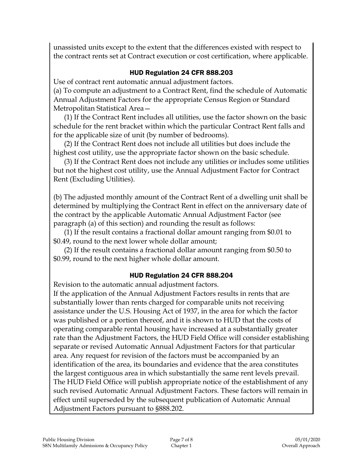unassisted units except to the extent that the differences existed with respect to the contract rents set at Contract execution or cost certification, where applicable.

#### HUD Regulation 24 CFR 888.203

Use of contract rent automatic annual adjustment factors.

(a) To compute an adjustment to a Contract Rent, find the schedule of Automatic Annual Adjustment Factors for the appropriate Census Region or Standard Metropolitan Statistical Area—

(1) If the Contract Rent includes all utilities, use the factor shown on the basic schedule for the rent bracket within which the particular Contract Rent falls and for the applicable size of unit (by number of bedrooms).

(2) If the Contract Rent does not include all utilities but does include the highest cost utility, use the appropriate factor shown on the basic schedule.

(3) If the Contract Rent does not include any utilities or includes some utilities but not the highest cost utility, use the Annual Adjustment Factor for Contract Rent (Excluding Utilities).

(b) The adjusted monthly amount of the Contract Rent of a dwelling unit shall be determined by multiplying the Contract Rent in effect on the anniversary date of the contract by the applicable Automatic Annual Adjustment Factor (see paragraph (a) of this section) and rounding the result as follows:

(1) If the result contains a fractional dollar amount ranging from \$0.01 to \$0.49, round to the next lower whole dollar amount;

(2) If the result contains a fractional dollar amount ranging from \$0.50 to \$0.99, round to the next higher whole dollar amount.

### HUD Regulation 24 CFR 888.204

Revision to the automatic annual adjustment factors.

If the application of the Annual Adjustment Factors results in rents that are substantially lower than rents charged for comparable units not receiving assistance under the U.S. Housing Act of 1937, in the area for which the factor was published or a portion thereof, and it is shown to HUD that the costs of operating comparable rental housing have increased at a substantially greater rate than the Adjustment Factors, the HUD Field Office will consider establishing separate or revised Automatic Annual Adjustment Factors for that particular area. Any request for revision of the factors must be accompanied by an identification of the area, its boundaries and evidence that the area constitutes the largest contiguous area in which substantially the same rent levels prevail. The HUD Field Office will publish appropriate notice of the establishment of any such revised Automatic Annual Adjustment Factors. These factors will remain in effect until superseded by the subsequent publication of Automatic Annual Adjustment Factors pursuant to §888.202.